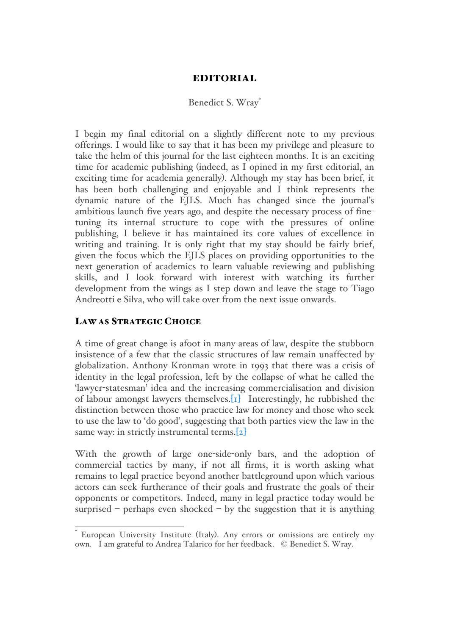# EDITORIAL

### Benedict S. Wray<sup>\*</sup>

I begin my final editorial on a slightly different note to my previous offerings. I would like to say that it has been my privilege and pleasure to take the helm of this journal for the last eighteen months. It is an exciting time for academic publishing (indeed, as I opined in my first editorial, an exciting time for academia generally). Although my stay has been brief, it has been both challenging and enjoyable and I think represents the dynamic nature of the EJLS. Much has changed since the journal's ambitious launch five years ago, and despite the necessary process of finetuning its internal structure to cope with the pressures of online publishing, I believe it has maintained its core values of excellence in writing and training. It is only right that my stay should be fairly brief, given the focus which the EJLS places on providing opportunities to the next generation of academics to learn valuable reviewing and publishing skills, and I look forward with interest with watching its further development from the wings as I step down and leave the stage to Tiago Andreotti e Silva, who will take over from the next issue onwards.

## LAW AS STRATEGIC CHOICE

A time of great change is afoot in many areas of law, despite the stubborn insistence of a few that the classic structures of law remain unaffected by globalization. Anthony Kronman wrote in 1993 that there was a crisis of identity in the legal profession, left by the collapse of what he called the 'lawyer-statesman' idea and the increasing commercialisation and division of labour amongst lawyers themselves.[1] Interestingly, he rubbished the distinction between those who practice law for money and those who seek to use the law to 'do good', suggesting that both parties view the law in the same way: in strictly instrumental terms.[2]

With the growth of large one-side-only bars, and the adoption of commercial tactics by many, if not all firms, it is worth asking what remains to legal practice beyond another battleground upon which various actors can seek furtherance of their goals and frustrate the goals of their opponents or competitors. Indeed, many in legal practice today would be surprised – perhaps even shocked – by the suggestion that it is anything

European University Institute (Italy). Any errors or omissions are entirely my own. I am grateful to Andrea Talarico for her feedback. © Benedict S. Wray.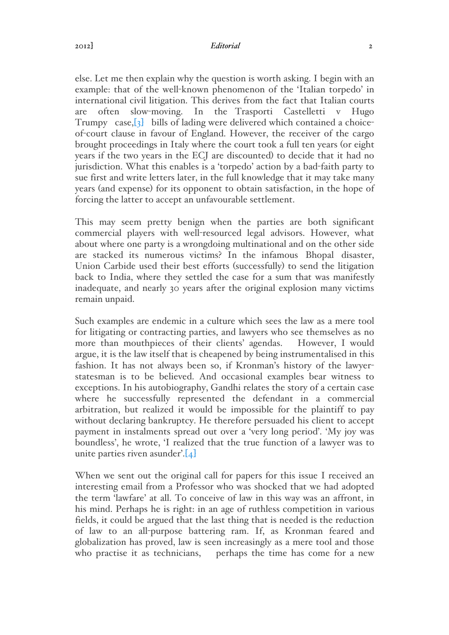else. Let me then explain why the question is worth asking. I begin with an example: that of the well-known phenomenon of the 'Italian torpedo' in international civil litigation. This derives from the fact that Italian courts are often slow-moving. In the Trasporti Castelletti v Hugo Trumpy case,[3] bills of lading were delivered which contained a choiceof-court clause in favour of England. However, the receiver of the cargo brought proceedings in Italy where the court took a full ten years (or eight years if the two years in the ECJ are discounted) to decide that it had no jurisdiction. What this enables is a 'torpedo' action by a bad-faith party to sue first and write letters later, in the full knowledge that it may take many years (and expense) for its opponent to obtain satisfaction, in the hope of forcing the latter to accept an unfavourable settlement.

This may seem pretty benign when the parties are both significant commercial players with well-resourced legal advisors. However, what about where one party is a wrongdoing multinational and on the other side are stacked its numerous victims? In the infamous Bhopal disaster, Union Carbide used their best efforts (successfully) to send the litigation back to India, where they settled the case for a sum that was manifestly inadequate, and nearly 30 years after the original explosion many victims remain unpaid.

Such examples are endemic in a culture which sees the law as a mere tool for litigating or contracting parties, and lawyers who see themselves as no more than mouthpieces of their clients' agendas. However, I would argue, it is the law itself that is cheapened by being instrumentalised in this fashion. It has not always been so, if Kronman's history of the lawyerstatesman is to be believed. And occasional examples bear witness to exceptions. In his autobiography, Gandhi relates the story of a certain case where he successfully represented the defendant in a commercial arbitration, but realized it would be impossible for the plaintiff to pay without declaring bankruptcy. He therefore persuaded his client to accept payment in instalments spread out over a 'very long period'. 'My joy was boundless', he wrote, 'I realized that the true function of a lawyer was to unite parties riven asunder'. $[4]$ 

When we sent out the original call for papers for this issue I received an interesting email from a Professor who was shocked that we had adopted the term 'lawfare' at all. To conceive of law in this way was an affront, in his mind. Perhaps he is right: in an age of ruthless competition in various fields, it could be argued that the last thing that is needed is the reduction of law to an all-purpose battering ram. If, as Kronman feared and globalization has proved, law is seen increasingly as a mere tool and those who practise it as technicians, perhaps the time has come for a new